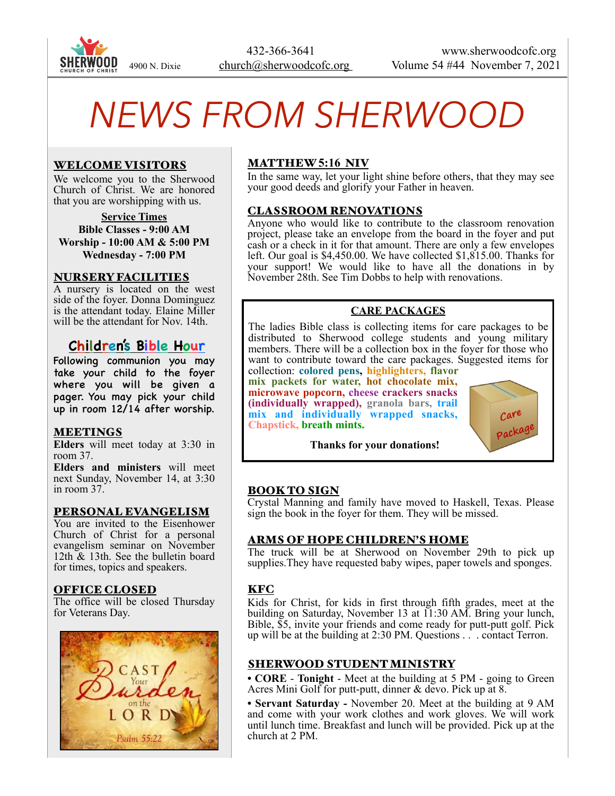

 432-366-3641 www.sherwoodcofc.org 4900 N. Dixie church@sherwoodcofc.org Volume 54 #44 November 7, 2021

# *NEWS FROM SHERWOOD*

### WELCOME VISITORS

We welcome you to the Sherwood Church of Christ. We are honored that you are worshipping with us.

**Service Times Bible Classes - 9:00 AM Worship - 10:00 AM & 5:00 PM Wednesday - 7:00 PM** 

#### NURSERY FACILITIES

A nursery is located on the west side of the foyer. Donna Dominguez is the attendant today. Elaine Miller will be the attendant for Nov. 14th.

# **Children's Bible Hour**

Following communion you may take your child to the foyer where you will be given a pager. You may pick your child up in room 12/14 after worship.

#### MEETINGS

**Elders** will meet today at 3:30 in room 37.

**Elders and ministers** will meet next Sunday, November 14, at 3:30 in room 37.

#### PERSONAL EVANGELISM

You are invited to the Eisenhower Church of Christ for a personal evangelism seminar on November 12th & 13th. See the bulletin board for times, topics and speakers.

#### OFFICE CLOSED

The office will be closed Thursday for Veterans Day.



# MATTHEW **5:16** NIV

In the same way, let your light shine before others, that they may see your good deeds and glorify your Father in heaven.

#### CLASSROOM RENOVATIONS

Anyone who would like to contribute to the classroom renovation project, please take an envelope from the board in the foyer and put cash or a check in it for that amount. There are only a few envelopes left. Our goal is \$4,450.00. We have collected \$1,815.00. Thanks for your support! We would like to have all the donations in by November 28th. See Tim Dobbs to help with renovations.

#### **CARE PACKAGES**

The ladies Bible class is collecting items for care packages to be distributed to Sherwood college students and young military members. There will be a collection box in the foyer for those who want to contribute toward the care packages. Suggested items for

collection: **colored pens, highlighters, flavor mix packets for water, hot chocolate mix, microwave popcorn, cheese crackers snacks (individually wrapped), granola bars, trail mix and individually wrapped snacks, Chapstick, breath mints.** 



 **Thanks for your donations!**

#### BOOK TO SIGN

Crystal Manning and family have moved to Haskell, Texas. Please sign the book in the foyer for them. They will be missed.

#### ARMS OF HOPE CHILDREN'S HOME

The truck will be at Sherwood on November 29th to pick up supplies. They have requested baby wipes, paper towels and sponges.

#### KFC

Kids for Christ, for kids in first through fifth grades, meet at the building on Saturday, November 13 at 11:30 AM. Bring your lunch, Bible, \$5, invite your friends and come ready for putt-putt golf. Pick up will be at the building at 2:30 PM. Questions . . . contact Terron.

#### SHERWOOD STUDENT MINISTRY

**• CORE** - **Tonight** - Meet at the building at 5 PM - going to Green Acres Mini Golf for putt-putt, dinner & devo. Pick up at 8.

**• Servant Saturday -** November 20. Meet at the building at 9 AM and come with your work clothes and work gloves. We will work until lunch time. Breakfast and lunch will be provided. Pick up at the church at 2 PM.